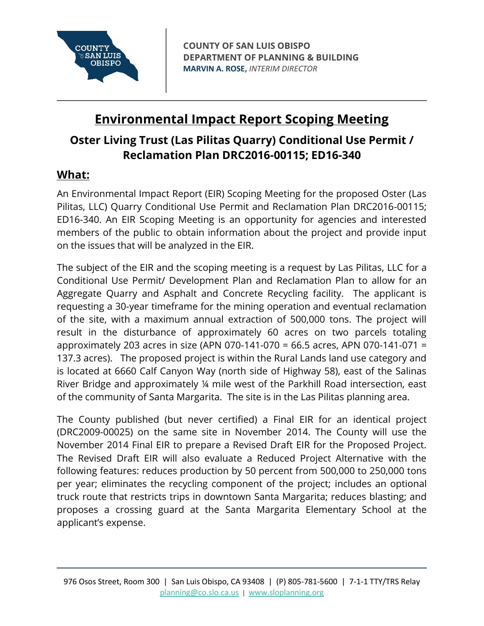

**COUNTY OF SAN LUIS OBISPO DEPARTMENT OF PLANNING & BUILDING MARVIN A. ROSE,** *INTERIM DIRECTOR*

# **Environmental Impact Report Scoping Meeting**

## **Oster Living Trust (Las Pilitas Quarry) Conditional Use Permit / Reclamation Plan DRC2016-00115; ED16-340**

## **What:**

An Environmental Impact Report (EIR) Scoping Meeting for the proposed Oster (Las Pilitas, LLC) Quarry Conditional Use Permit and Reclamation Plan DRC2016-00115; ED16-340. An EIR Scoping Meeting is an opportunity for agencies and interested members of the public to obtain information about the project and provide input on the issues that will be analyzed in the EIR.

The subject of the EIR and the scoping meeting is a request by Las Pilitas, LLC for a Conditional Use Permit/ Development Plan and Reclamation Plan to allow for an Aggregate Quarry and Asphalt and Concrete Recycling facility. The applicant is requesting a 30-year timeframe for the mining operation and eventual reclamation of the site, with a maximum annual extraction of 500,000 tons. The project will result in the disturbance of approximately 60 acres on two parcels totaling approximately 203 acres in size (APN 070-141-070 = 66.5 acres, APN 070-141-071 = 137.3 acres). The proposed project is within the Rural Lands land use category and is located at 6660 Calf Canyon Way (north side of Highway 58), east of the Salinas River Bridge and approximately ¼ mile west of the Parkhill Road intersection, east of the community of Santa Margarita. The site is in the Las Pilitas planning area.

The County published (but never certified) a Final EIR for an identical project (DRC2009-00025) on the same site in November 2014. The County will use the November 2014 Final EIR to prepare a Revised Draft EIR for the Proposed Project. The Revised Draft EIR will also evaluate a Reduced Project Alternative with the following features: reduces production by 50 percent from 500,000 to 250,000 tons per year; eliminates the recycling component of the project; includes an optional truck route that restricts trips in downtown Santa Margarita; reduces blasting; and proposes a crossing guard at the Santa Margarita Elementary School at the applicant's expense.

<sup>976</sup> Osos Street, Room 300 | San Luis Obispo, CA 93408 | (P) 805-781-5600 | 7-1-1 TTY/TRS Relay [planning@co.slo.ca.us](mailto:planning@co.slo.ca.us) | [www.sloplanning.org](http://www.sloplanning.org/)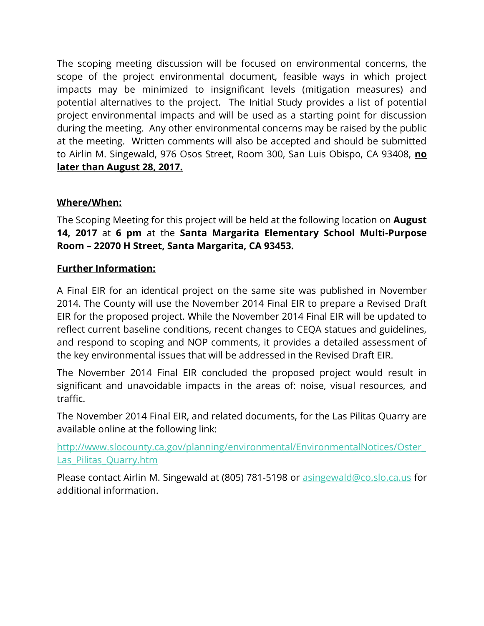The scoping meeting discussion will be focused on environmental concerns, the scope of the project environmental document, feasible ways in which project impacts may be minimized to insignificant levels (mitigation measures) and potential alternatives to the project. The Initial Study provides a list of potential project environmental impacts and will be used as a starting point for discussion during the meeting. Any other environmental concerns may be raised by the public at the meeting. Written comments will also be accepted and should be submitted to Airlin M. Singewald, 976 Osos Street, Room 300, San Luis Obispo, CA 93408, **no later than August 28, 2017.**

### **Where/When:**

The Scoping Meeting for this project will be held at the following location on **August 14, 2017** at **6 pm** at the **Santa Margarita Elementary School Multi-Purpose Room – 22070 H Street, Santa Margarita, CA 93453.**

### **Further Information:**

A Final EIR for an identical project on the same site was published in November 2014. The County will use the November 2014 Final EIR to prepare a Revised Draft EIR for the proposed project. While the November 2014 Final EIR will be updated to reflect current baseline conditions, recent changes to CEQA statues and guidelines, and respond to scoping and NOP comments, it provides a detailed assessment of the key environmental issues that will be addressed in the Revised Draft EIR.

The November 2014 Final EIR concluded the proposed project would result in significant and unavoidable impacts in the areas of: noise, visual resources, and traffic.

The November 2014 Final EIR, and related documents, for the Las Pilitas Quarry are available online at the following link:

[http://www.slocounty.ca.gov/planning/environmental/EnvironmentalNotices/Oster\\_](http://www.slocounty.ca.gov/planning/environmental/EnvironmentalNotices/Oster_Las_Pilitas_Quarry.htm) [Las\\_Pilitas\\_Quarry.htm](http://www.slocounty.ca.gov/planning/environmental/EnvironmentalNotices/Oster_Las_Pilitas_Quarry.htm)

Please contact Airlin M. Singewald at (805) 781-5198 or [asingewald@co.slo.ca.us](mailto:asingewald@co.slo.ca.us) for additional information.